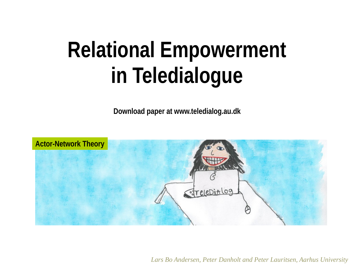# **Relational Empowerment in Teledialogue**

**Download paper at www.teledialog.au.dk**



*Lars Bo Andersen, Peter Danholt and Peter Lauritsen, Aarhus University*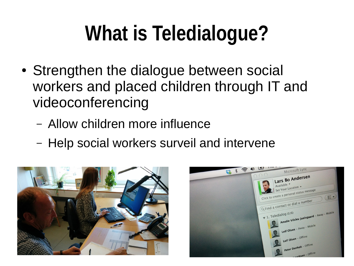# **What is Teledialogue?**

- Strengthen the dialogue between social workers and placed children through IT and videoconferencing
	- Allow children more influence
	- Help social workers surveil and intervene



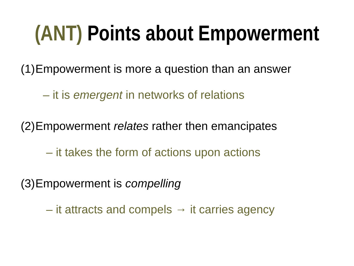# **(ANT) Points about Empowerment**

(1)Empowerment is more a question than an answer

– it is *emergent* in networks of relations

(2)Empowerment *relates* rather then emancipates

– it takes the form of actions upon actions

(3)Empowerment is *compelling*

 $-$  it attracts and compels  $\rightarrow$  it carries agency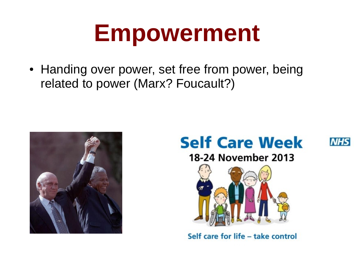# **Empowerment**

• Handing over power, set free from power, being related to power (Marx? Foucault?)





**NHS** 





Self care for life - take control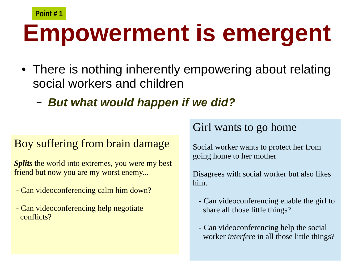## **Empowerment is emergent Point # 1**

- There is nothing inherently empowering about relating social workers and children
	- *But what would happen if we did?*

#### Boy suffering from brain damage

*Splits* the world into extremes, you were my best friend but now you are my worst enemy...

- Can videoconferencing calm him down?
- Can videoconferencing help negotiate conflicts?

## Girl wants to go home

Social worker wants to protect her from going home to her mother

Disagrees with social worker but also likes him.

- Can videoconferencing enable the girl to share all those little things?
- Can videoconferencing help the social worker *interfere* in all those little things?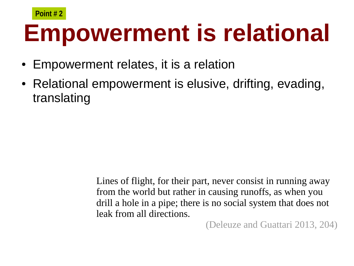## **Empowerment is relational Point # 2**

- Empowerment relates, it is a relation
- Relational empowerment is elusive, drifting, evading, translating

Lines of flight, for their part, never consist in running away from the world but rather in causing runoffs, as when you drill a hole in a pipe; there is no social system that does not leak from all directions.

(Deleuze and Guattari 2013, 204)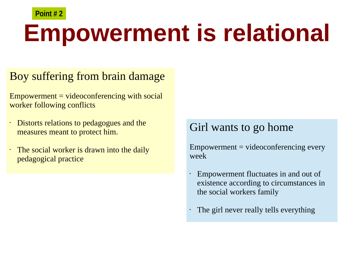#### **Point # 2**

# **Empowerment is relational**

#### Boy suffering from brain damage

 $Empowerment = video conferencing with social$ worker following conflicts

- Distorts relations to pedagogues and the measures meant to protect him.
- The social worker is drawn into the daily pedagogical practice

## Girl wants to go home

 $Empowerment = video conferencing every$ week

- Empowerment fluctuates in and out of existence according to circumstances in the social workers family
- The girl never really tells everything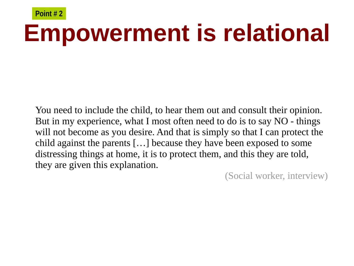## **Empowerment is relational Point # 2**

You need to include the child, to hear them out and consult their opinion. But in my experience, what I most often need to do is to say NO - things will not become as you desire. And that is simply so that I can protect the child against the parents […] because they have been exposed to some distressing things at home, it is to protect them, and this they are told, they are given this explanation.

(Social worker, interview)